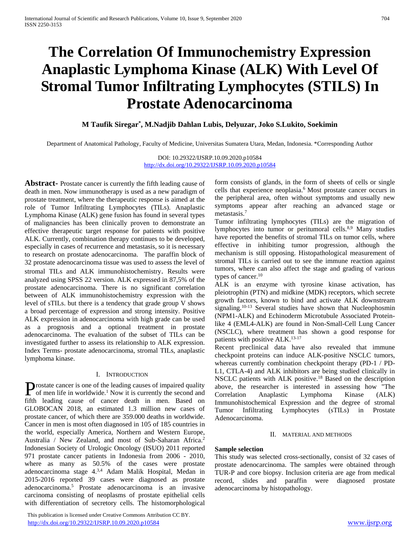# **The Correlation Of Immunochemistry Expression Anaplastic Lymphoma Kinase (ALK) With Level Of Stromal Tumor Infiltrating Lymphocytes (STILS) In Prostate Adenocarcinoma**

# **M Taufik Siregar\* , M.Nadjib Dahlan Lubis, Delyuzar, Joko S.Lukito, Soekimin**

Department of Anatomical Pathology, Faculty of Medicine, Universitas Sumatera Utara, Medan, Indonesia. \*Corresponding Author

DOI: 10.29322/IJSRP.10.09.2020.p10584 <http://dx.doi.org/10.29322/IJSRP.10.09.2020.p10584>

**Abstract-** Prostate cancer is currently the fifth leading cause of death in men. Now immunotherapy is used as a new paradigm of prostate treatment, where the therapeutic response is aimed at the role of Tumor Infiltrating Lymphocytes (TILs). Anaplastic Lymphoma Kinase (ALK) gene fusion has found in several types of malignancies has been clinically proven to demonstrate an effective therapeutic target response for patients with positive ALK. Currently, combination therapy continues to be developed, especially in cases of recurrence and metastasis, so it is necessary to research on prostate adenocarcinoma. The paraffin block of 32 prostate adenocarcinoma tissue was used to assess the level of stromal TILs and ALK immunohistochemistry. Results were analyzed using SPSS 22 version. ALK expressed in 87,5% of the prostate adenocarcinoma. There is no significant correlation between of ALK immunohistochemistry expression with the level of sTILs. but there is a tendency that grade group V shows a broad percentage of expression and strong intensity. Positive ALK expression in adenocarcinoma with high grade can be used as a prognosis and a optional treatment in prostate adenocarcinoma. The evaluation of the subset of TILs can be investigated further to assess its relationship to ALK expression. Index Terms- prostate adenocarcinoma, stromal TILs, anaplastic lymphoma kinase.

## I. INTRODUCTION

rostate cancer is one of the leading causes of impaired quality **P**rostate cancer is one of the leading causes of impaired quality of men life in worldwide.<sup>1</sup> Now it is currently the second and fifth leading cause of cancer death in men. Based on GLOBOCAN 2018, an estimated 1.3 million new cases of prostate cancer, of which there are 359.000 deaths in worldwide. Cancer in men is most often diagnosed in 105 of 185 countries in the world, especially America, Northern and Western Europe, Australia / New Zealand, and most of Sub-Saharan Africa.<sup>2</sup> Indonesian Society of Urologic Oncology (ISUO) 2011 reported 971 prostate cancer patients in Indonesia from 2006 - 2010, where as many as 50.5% of the cases were prostate adenocarcinoma stage 4.3,4 Adam Malik Hospital, Medan in 2015-2016 reported 39 cases were diagnosed as prostate adenocarcinoma.<sup>5</sup> Prostate adenocarcinoma is an invasive carcinoma consisting of neoplasms of prostate epithelial cells with differentiation of secretory cells. The histomorphological

 This publication is licensed under Creative Commons Attribution CC BY. <http://dx.doi.org/10.29322/IJSRP.10.09.2020.p10584> [www.ijsrp.org](http://ijsrp.org/)

form consists of glands, in the form of sheets of cells or single cells that experience neoplasia.<sup>6</sup> Most prostate cancer occurs in the peripheral area, often without symptoms and usually new symptoms appear after reaching an advanced stage or metastasis.<sup>7</sup>

Tumor infiltrating lymphocytes (TILs) are the migration of lymphocytes into tumor or peritumoral cells.<sup>8,9</sup> Many studies have reported the benefits of stromal TILs on tumor cells, where effective in inhibiting tumor progression, although the mechanism is still opposing. Histopathological measurement of stromal TILs is carried out to see the immune reaction against tumors, where can also affect the stage and grading of various types of cancer.<sup>10</sup>

ALK is an enzyme with tyrosine kinase activation, has pleiotrophin (PTN) and midkine (MDK) receptors, which secrete growth factors, known to bind and activate ALK downstream signaling.<sup>10-13</sup> Several studies have shown that Nucleophosmin (NPM1-ALK) and Echinoderm Microtubule Associated Proteinlike 4 (EML4-ALK) are found in Non-Small-Cell Lung Cancer (NSCLC), where treatment has shown a good response for patients with positive ALK.<sup>13-17</sup>

Recent preclinical data have also revealed that immune checkpoint proteins can induce ALK-positive NSCLC tumors, whereas currently combination checkpoint therapy (PD-1 / PD-L1, CTLA-4) and ALK inhibitors are being studied clinically in NSCLC patients with ALK positive.<sup>18</sup> Based on the description above, the researcher is interested in assessing how "The Correlation Anaplastic Lymphoma Kinase (ALK) Immunohistochemical Expression and the degree of stromal Tumor Infiltrating Lymphocytes (sTILs) in Prostate Adenocarcinoma.

#### II. MATERIAL AND METHODS

#### **Sample selection**

This study was selected cross-sectionally, consist of 32 cases of prostate adenocarcinoma. The samples were obtained through TUR-P and core biopsy. Inclusion criteria are age from medical record, slides and paraffin were diagnosed prostate adenocarcinoma by histopathology.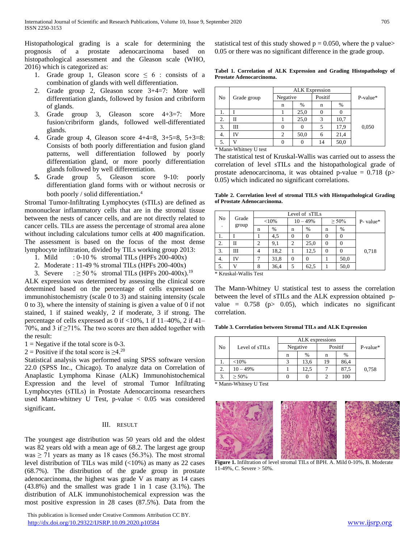Histopathological grading is a scale for determining the prognosis of a prostate adenocarcinoma based on histopathological assessment and the Gleason scale (WHO, 2016) which is categorized as:

- 1. Grade group 1, Gleason score  $\leq 6$  : consists of a combination of glands with well differentiation.
- 2. Grade group 2, Gleason score 3+4=7: More well differentiation glands, followed by fusion and cribriform of glands.
- 3. Grade group 3, Gleason score 4+3=7: More fusion/cribriform glands, followed well-differentiated glands.
- 4. Grade group 4, Gleason score 4+4=8, 3+5=8, 5+3=8: Consists of both poorly differentiation and fusion gland patterns, well differentiation followed by poorly differentiation gland, or more poorly differentiation glands followed by well differentiation.
- **5.** Grade group 5, Gleason score 9-10: poorly differentiation gland forms with or without necrosis or both poorly / solid differentiation. 4

Stromal Tumor-Infiltrating Lymphocytes (sTILs) are defined as mononuclear inflammatory cells that are in the stromal tissue between the nests of cancer cells, and are not directly related to cancer cells. TILs are assess the percentage of stromal area alone without including calculations tumor cells at 400 magnification. The assessment is based on the focus of the most dense lymphocyte infiltration, divided by TILs working group 2013:

- 1. Mild : 0-10 % stromal TILs (HPFs 200-400x)
- 2. Moderate : 11-49 % stromal TILs (HPFs 200-400x)
- 3. Severe :  $\geq 50\%$  stromal TILs (HPFs 200-400x).<sup>19</sup>

ALK expression was determined by assessing the clinical score determined based on the percentage of cells expressed on immunohistochemistry (scale 0 to 3) and staining intensity (scale 0 to 3), where the intensity of staining is given a value of 0 if not stained, 1 if stained weakly, 2 if moderate, 3 if strong. The percentage of cells expressed as 0 if <10%, 1 if 11–40%, 2 if 41– 70%, and 3 if  $\geq$ 71%. The two scores are then added together with the result:

- $1 =$ Negative if the total score is 0-3.
- 2 = Positive if the total score is  $\geq 4$ .<sup>20</sup>

Statistical analysis was performed using SPSS software version 22.0 (SPSS Inc., Chicago). To analyze data on Correlation of Anaplastic Lymphoma Kinase (ALK) Immunohistochemical Expression and the level of stromal Tumor Infiltrating Lymphocytes (sTILs) in Prostate Adenocarcinoma researchers used Mann-whitney U Test, p-value < 0.05 was considered significant.

#### III. RESULT

The youngest age distribution was 50 years old and the oldest was 82 years old with a mean age of 68.2. The largest age group was  $\geq$  71 years as many as 18 cases (56.3%). The most stromal level distribution of TILs was mild (<10%) as many as 22 cases (68.7%). The distribution of the grade group in prostate adenocarcinoma, the highest was grade V as many as 14 cases (43.8%) and the smallest was grade 1 in 1 case (3.1%). The distribution of ALK immunohistochemical expression was the most positive expression in 28 cases (87.5%). Data from the

 This publication is licensed under Creative Commons Attribution CC BY. <http://dx.doi.org/10.29322/IJSRP.10.09.2020.p10584> [www.ijsrp.org](http://ijsrp.org/)

statistical test of this study showed  $p = 0.050$ , where the p value> 0.05 or there was no significant difference in the grade group.

**Tabel 1. Correlation of ALK Expression and Grading Histopathology of Prostate Adenocarcinoma.**

|    | Grade group |          | <b>ALK</b> Expression |         |      |          |
|----|-------------|----------|-----------------------|---------|------|----------|
| No |             | Negative |                       | Positif |      | P-value* |
|    |             | n        | %                     | n       | %    |          |
| ı. |             |          | 25,0                  |         |      |          |
| 2. | П           |          | 25,0                  | 3       | 10,7 |          |
| 3. | Ш           |          |                       |         | 17,9 | 0,050    |
| 4. | ĪV          | 2        | 50,0                  | 6       | 21,4 |          |
| 5. |             |          |                       | 14      | 50,0 |          |

*\** Mann-Whitney U test

The statistical test of Kruskal-Wallis was carried out to assess the correlation of level sTILs and the histopathological grade of prostate adenocarcinoma, it was obtained p-value =  $0.718$  (p> 0.05) which indicated no significant correlations.

**Table 2. Correlation level of stromal TILS with Histopathological Grading of Prostate Adenocarcinoma.**

|                |             | Level of sTILs |      |                |      |             |          |              |
|----------------|-------------|----------------|------|----------------|------|-------------|----------|--------------|
| N <sub>o</sub> | Grade       | ${<}10\%$      |      | $10 - 49%$     |      | $\geq 50\%$ |          | $P$ - value* |
|                | group       | n              | %    | n              | $\%$ | n           | $\%$     |              |
| 1.             |             |                | 4,5  | 0              | 0    |             |          |              |
| 2.             | $_{\rm II}$ | 2              | 9,1  | $\overline{2}$ | 25,0 | $\Omega$    | $\Omega$ |              |
| 3.             | Ш           | 4              | 18,2 |                | 12,5 | $\Omega$    | $\Omega$ | 0,718        |
| 4.             | IV          |                | 31,8 | 0              | 0    |             | 50,0     |              |
| 5.             |             | 8              | 36,4 | 5              | 62,5 |             | 50,0     |              |

\* Kruskal-Wallis Test

The Mann-Whitney U statistical test to assess the correlation between the level of sTILs and the ALK expression obtained pvalue =  $0.758$  (p> 0.05), which indicates no significant correlation.

**Table 3. Correlation between Stromal TILs and ALK Expression**

|    | Level of sTILs |   |          |         |               |            |
|----|----------------|---|----------|---------|---------------|------------|
| No |                |   | Negative | Positif |               | $P-value*$ |
|    |                | n | $\%$     | n       | $\frac{0}{0}$ |            |
|    | ${<}10%$       |   | 13,6     | 19      | 86,4          |            |
|    | $10 - 49%$     |   | 12.5     |         | 87,5          | 0,758      |
|    | $> 50\%$       |   |          |         | 100           |            |

\* Mann-Whitney U Test



Figure 1. Infiltration of level stromal TILs of BPH. A. Mild 0-10%, B. Moderate 11-49%, C. Severe > 50%.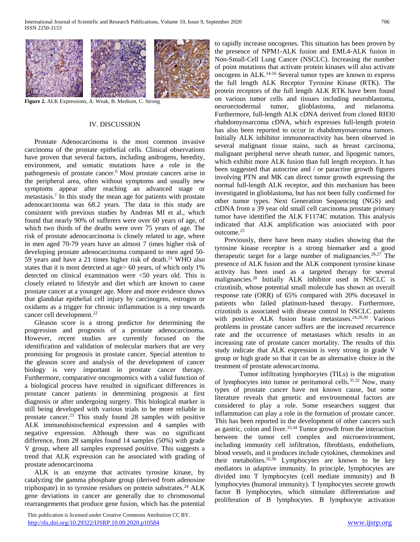

**Figure 2.** ALK Expressions, A. Weak, B. Medium, C. Strong

#### IV. DISCUSSION

Prostate Adenocarcinoma is the most common invasive carcinoma of the prostate epithelial cells. Clinical observations have proven that several factors, including androgens, heredity, environment, and somatic mutations have a role in the pathogenesis of prostate cancer.<sup>6</sup> Most prostate cancers arise in the peripheral area, often without symptoms and usually new symptoms appear after reaching an advanced stage or metastasis.<sup>7</sup> In this study the mean age for patients with prostate adenocarcinoma was 68.2 years. The data in this study are consistent with previous studies by Andreas MI et al., which found that nearly 90% of sufferers were over 60 years of age, of which two thirds of the deaths were over 75 years of age. The risk of prostate adenocarcinoma is closely related to age, where in men aged 70-79 years have an almost 7 times higher risk of developing prostate adenocarcinoma compared to men aged 50- 59 years and have a 21 times higher risk of death.<sup>21</sup> WHO also states that it is most detected at age> 60 years, of which only 1% detected on clinical examination were <50 years old. This is closely related to lifestyle and diet which are known to cause prostate cancer at a younger age. More and more evidence shows that glandular epithelial cell injury by carcinogens, estrogen or oxidants as a trigger for chronic inflammation is a step towards cancer cell development.<sup>22</sup>

Gleason score is a strong predictor for determining the progression and prognosis of a prostate adenocarcinoma. However, recent studies are currently focused on the identification and validation of molecular markers that are very promising for prognosis in prostate cancer. Special attention to the gleason score and analysis of the development of cancer biology is very important in prostate cancer therapy. Furthermore, comparative oncogenomics with a valid function of a biological process have resulted in significant differences in prostate cancer patients in determining prognosis at first diagnosis or after undergoing surgery. This biological marker is still being developed with various trials to be more reliable in prostate cancer.<sup>23</sup> This study found 28 samples with positive ALK immunohistochemical expression and 4 samples with negative expression. Although there was no significant difference, from 28 samples found 14 samples (50%) with grade V group, where all samples expressed positive. This suggests a trend that ALK expression can be associated with grading of prostate adenocarcinoma

ALK is an enzyme that activates tyrosine kinase, by catalyzing the gamma phosphate group (derived from adenosine triphospate) in to tyrosine residues on protein substrates.<sup>24</sup> ALK gene deviations in cancer are generally due to chromosomal rearrangements that produce gene fusion, which has the potential

 This publication is licensed under Creative Commons Attribution CC BY. <http://dx.doi.org/10.29322/IJSRP.10.09.2020.p10584> [www.ijsrp.org](http://ijsrp.org/)

to rapidly increase oncogenes. This situation has been proven by the presence of NPM1-ALK fusion and EML4-ALK fusion in Non-Small-Cell Lung Cancer (NSCLC). Increasing the number of point mutations that activate protein kinases will also activate oncogens in ALK.14-16 Several tumor types are known to express the full length ALK Receptor Tyrosine Kinase (RTK). The protein receptors of the full length ALK RTK have been found on various tumor cells and tissues including neuroblastoma, neuroectodermal tumor, glioblastoma, and melanoma. Furthermore, full-length ALK cDNA derived from cloned RH30 rhabdomyosarcoma cDNA, which expresses full-length protein has also been reported to occur in rhabdomyosarcoma tumors. Initially ALK inhibitor immunoreactivity has been observed in several malignant tissue stains, such as breast carcinoma, malignant peripheral nerve sheath tumor, and lipogenic tumors, which exhibit more ALK fusion than full length receptors. It has been suggested that autocrine and / or paracrine growth figures involving PTN and MK can direct tumor growth expressing the normal full-length ALK receptor, and this mechanism has been investigated in glioblastoma, but has not been fully confirmed for other tumor types. Next Generation Sequencing (NGS) and ctDNA from a 39 year old small cell carcinoma prostate primary tumor have identified the ALK F1174C mutation. This analysis indicated that ALK amplification was associated with poor outcome.<sup>25</sup>

Previously, there have been many studies showing that the tyrosine kinase receptor is a strong biomarker and a good therapeutic target for a large number of malignancies.<sup>26,27</sup> The presence of ALK fusion and the ALK component tyrosine kinase activity has been used as a targeted therapy for several malignancies.<sup>28</sup> Initially ALK inhibitor used in NSCLC is crizotinib, whose potential small molecule has shown an overall response rate (ORR) of 65% compared with 20% docetaxel in patients who failed platinum-based therapy. Furthermore, crizotinib is associated with disease control in NSCLC patients with positive ALK fusion brain metastases.<sup>24,29,30</sup> Various problems in prostate cancer suffers are the increased recurrence rate and the occurrence of metastases which results in an increasing rate of prostate cancer mortality. The results of this study indicate that ALK expression is very strong in grade V group or high grade so that it can be an alternative choice in the treatment of prostate adenocarcinoma.

Tumor infiltrating lymphocytes (TILs) is the migration of lymphocytes into tumor or peritumoral cells. $31,32$  Now, many types of prostate cancer have not known cause, but some literature reveals that genetic and environmental factors are considered to play a role. Some researchers suggest that inflammation can play a role in the formation of prostate cancer. This has been reported in the development of other cancers such as gastric, colon and liver.<sup>33,34</sup> Tumor growth from the interaction between the tumor cell complex and microenvironment, including immunity cell infiltration, fibroblasts, endothelium, blood vessels, and it produces include cytokines, chemokines and their metabolites.35,36 Lymphocytes are known to be key mediators in adaptive immunity. In principle, lymphocytes are divided into T lymphocytes (cell mediate immunity) and B lymphocytes (humoral immunity). T lymphocytes secrete growth factor B lymphocytes, which stimulate differentiation and proliferation of B lymphocytes. B lymphocyte activation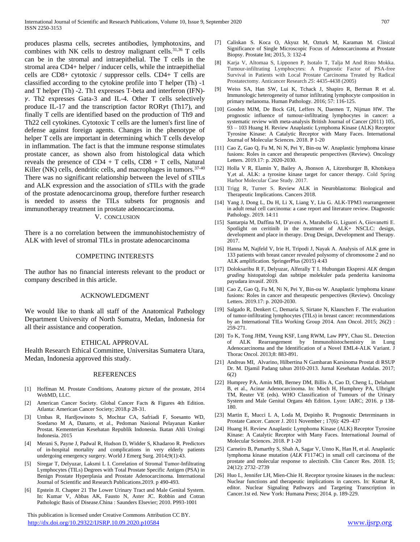produces plasma cells, secretes antibodies, lymphotoxins, and combines with NK cells to destroy malignant cells. $31,36$  T cells can be in the stromal and intraepithelial. The T cells in the stromal area CD4+ helper / inducer cells, while the intraepithelial cells are CD8+ cytotoxic / suppressor cells. CD4+ T cells are classified according to the cytokine profile into T helper (Th) -1 and T helper (Th) -2. Th1 expresses T-beta and interferon (IFN)-  $\gamma$ . Th2 expresses Gata-3 and IL-4. Other T cells selectively produce IL-17 and the transcription factor ROR $\nu$ t (Th17), and finally T cells are identified based on the production of Th9 and Th22 cell cytokines. Cytotoxic T cells are the lumen's first line of defense against foreign agents. Changes in the phenotype of helper T cells are important in determining which T cells develop in inflammation. The fact is that the immune response stimulates prostate cancer, as shown also from histological data which reveals the presence of  $CD4 + T$  cells,  $CD8 + T$  cells, Natural Killer (NK) cells, dendritic cells, and macrophages in tumors.<sup>37-40</sup> There was no significant relationship between the level of sTILs and ALK expression and the association of sTILs with the grade of the prostate adenocarcinoma group, therefore further research is needed to assess the TILs subsets for prognosis and immunotherapy treatment in prostate adenocarcinoma. V. CONCLUSION

There is a no correlation between the immunohistochemistry of ALK with level of stromal TILs in prostate adenocarcinoma

#### COMPETING INTERESTS

The author has no financial interests relevant to the product or company described in this article.

### ACKNOWLEDGMENT

We would like to thank all staff of the Anatomical Pathology Department University of North Sumatra, Medan, Indonesia for all their assistance and cooperation.

#### ETHICAL APPROVAL

Health Research Ethical Committee, Universitas Sumatera Utara, Medan, Indonesia approved this study.

#### REFERENCES

- [1] Hoffman M. Prostate Conditions, Anatomy picture of the prostate, 2014 WebMD, LLC.
- [2] American Cancer Society. Global Cancer Facts & Figures 4th Edition. Atlanta: American Cancer Society; 2018.p 28-31.
- Umbas R, Hardjowinoto S, Mochtar CA, Safriadi F, Soesanto WD, Soedarso M A, Danarto, et al., Pedoman Nasional Pelayanan Kanker Prostat. Kementerian Kesehatan Republik Indonesia. Ikatan Ahli Urologi Indonesia. 2015
- [4] Merani S, Payne J, Padwal R, Hudson D, Widder S, Khadaroo R. Predictors of in-hospital mortality and complications in very elderly patients undergoing emergency surgery. World J Emerg Surg. 2014;9(1):43.
- [5] Siregar T, Delyuzar, Laksmi L I. Correlation of Stromal Tumor-Infiltrating Lymphocytes (TILs) Degrees with Total Prostate Specific Antigen (PSA) in Benign Prostate Hyperplasia and Prostate Adenocarcinoma. International Journal of Scientific and Research Publications.2019. p 490-493.
- [6] Epstein JI. Chapter 21 The Lower Urinary Tract and Male Genital System. In: Kumar V, Abbas AK, Fausto N, Aster JC. Robbin and Cotran Pathologic Basis of Disease.China : Saunders Elsevier; 2010. P993-1001

 This publication is licensed under Creative Commons Attribution CC BY. <http://dx.doi.org/10.29322/IJSRP.10.09.2020.p10584> [www.ijsrp.org](http://ijsrp.org/)

- [7] Caliskan S. Koca O, Akyuz M, Ozturk M, Karaman M. Clinical Significance of Single Microscopic Focus of Adenocarcinoma at Prostate Biopsy. Prostate Int; 2015, 3: 132-4
- [8] Karja V, Altomaa S, Lipponen P, Isotalo T, Talja M And Risto Mokka. Tumour-infiltrating Lymphocytes: A Prognostic Factor of PSA-free Survival in Patients with Local Prostate Carcinoma Treated by Radical Prostatectomy. Anticancer Research *25*: 4435-4438 (2005)
- [9] Weiss SA, Han SW, Lui K, Tchack J, Shapiro R, Berman R et al. Immunologic heterogeneity of tumor infiltrating lymphocyte composition in primary melanoma. Human Pathology. 2016; 57: 116-125.
- [10] Gooden MJM, De Bock GH, Leffers N, Daemen T, Nijman HW. The prognostic influence of tumour-infiltrating lymphocytes in cancer: a systematic review with meta-analysis British Journal of Cancer (2011) 105, 93 – 103 Huang H. Review Anaplastic Lymphoma Kinase (ALK) Receptor Tyrosine Kinase: A Catalytic Receptor with Many Faces. International Journal of Molecular Sciences. 2018. P 1-20
- [11] Cao Z, Gao Q, Fu M, Ni N, Pei Y, Bin-ou W. Anaplastic lymphoma kinase fusions: Roles in cancer and therapeutic perspectives (Review). Oncology Letters. 2019.17: p. 2020-2030.
- [12] Holla V R, Elamin Y, Bailey A, Jhonson A, Litzenburger B, Khotskaya Y,et al. ALK: a tyrosine kinase target for cancer therapy. Cold Spring Harbor Molecular Case Study. 2017.
- [13] Trigg R, Turner S. Review ALK in Neuroblastoma: Biological and Therapeutic Implications. Cancers 2018.
- [14] Yang J, Dong L, Du H, Li X, Liang Y, Liu G. ALK-TPM3 rearrangement in adult renal cell carcinoma: a case report and literature review. Diagnostic Pathology. 2019. 14:11
- [15] Santarpia M, Daffina M, D'aveni A, Marabello G, Liguori A, Giovanetti E. Spotlight on ceritinib in the treatment of ALK+ NSCLC: design, development and place in therapy. Drug Design, Development and Therapy. 2017.
- [16] Hanna M, Najfeld V, Irie H, Tripodi J, Nayak A. Analysis of ALK gene in 133 patients with breast cancer revealed polysomy of chromosome 2 and no ALK amplification. SpringerPlus (2015) 4:43
- [17] Doloksaribu R F, Delyuzar, Alferally T I. Hubungan Ekspresi *ALK* dengan *grading* histopatologi dan subtipe molekuler pada penderita karsinoma payudara invasif. 2019.
- [18] Cao Z, Gao Q, Fu M, Ni N, Pei Y, Bin-ou W. Anaplastic lymphoma kinase fusions: Roles in cancer and therapeutic perspectives (Review). Oncology Letters. 2019.17: p. 2020-2030.
- [19] Salgado R, Denkert C, Demaria S, Sirtane N, Klauschen F. The evaluation of tumor-infiltrating lymphocytes (TILs) in breast cancer: recommendations by an International TILs Working Group 2014. Ann Oncol. 2015; 26(2) : 259-271.
- [20] To K, Tong JHM, Yeung KSF, Lung RWM, Law PPY, Chau SL. Detection of ALK Rearrangement by Immunohistochemistry in Lung Adenocarcinoma and the Identification of a Novel EML4-ALK Variant. J Thorac Oncol. 2013;8: 883-891.
- [21] Andreas MI, Alvarino, Hilbertina N Gambaran Karsinoma Prostat di RSUP Dr. M. Djamil Padang tahun 2010-2013. Jurnal Kesehatan Andalas. 2017; 6(2)
- [22] Humprey PA, Amin MB, Berney DM, Billis A, Cao D, Cheng L, Delahunt B, et al., Acinar Adenocarcinoma. In: Moch H, Humphrey PA, Ulbright TM, Reuter VE (eds). WHO Classification of Tumours of the Urinary System and Male Genital Organs 4th Edition. Lyon: IARC; 2016. p 138- 180.
- [23] Martin E, Mucci L A, Loda M, Depinho R. Prognostic Determinants in Prostate Cancer. Cancer J. 2011 November ; 17(6): 429–437
- [24] Huang H. Review Anaplastic Lymphoma Kinase (ALK) Receptor Tyrosine Kinase: A Catalytic Receptor with Many Faces. International Journal of Molecular Sciences. 2018. P 1-20
- [25] Carneiro B, Pamarthy S, Shah A, Sagar V, Unno K, Han H, et al. Anaplastic lymphoma kinase mutation (*ALK* F1174C) in small cell carcinoma of the prostate and molecular response to alectinib. Clin Cancer Res. 2018. 15; 24(12): 2732–2739
- [26] Huo L, Jennifer LH, Mien-Chie H. Receptor tyrosine kinases in the nucleus: Nuclear functions and therapeutic implications in cancers. In: Kumar R, editor. Nuclear Signaling Pathways and Targeting Transcription in Cancer.1st ed. New York: Humana Press; 2014. p. 189-229.